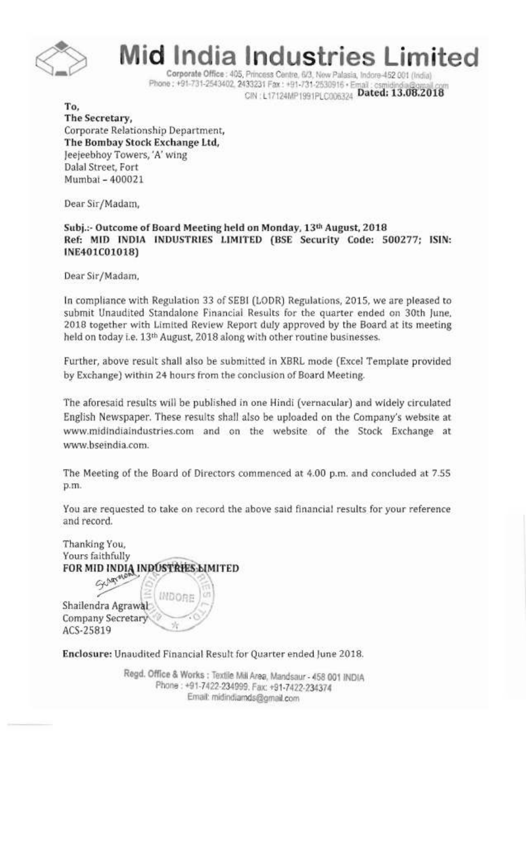

**id India Industries Limited** 

Corporate Office: 405, Princess Centre, 6/3, New Palasia, Indore-452 001 (India) Phone: +91-731-2543402, 2433231 Fax: +91-731-2530916 · Email CIN : L17124MP1991PLC006324 Dated: 13.08.2018

To, The Secretary, Corporate Relationship Department, The Bombay Stock Exchange Ltd, ]eejeebhoy Towers, 'A' wing Dalal Street, Fort Mumbai - 400021

Dear Sir/Madam,

## Subj.:- Outcome of Board Meeting held on Monday, 13th August, 2018 Ref: MID INDIA INDUSTRIES LIMITED (BSE Security Code: 500277; ISIN: INE401COI018)

Dear Sir/Madam,

In compliance with Regulation 33 of SEBI (LODR) Regulations, 2015, we are pleased to submit Unaudited Standalone Financial Results for the quarter ended on 30th June, 2018 together with Limited Review Report duly approved by the Board at its meeting held on today i.e. 13<sup>th</sup> August, 2018 along with other routine businesses.

Further, above result shall also be submitted in XBRL mode (Excel Template provided by Exchange) within 24 hours from the conclusion of Board Meeting.

The aforesaid results will be published in one Hindi (vernacular) and widely circulated English Newspaper. These results shall also be uploaded on the Company's website at www.midindiaindustries.com and on the website of the Stock Exchange at \WlW.bseindia.com.

The Meeting of the Board of Directors commenced at 4.00 p.m. and concluded at 7.55 p.m.

You are requested to take on record the above said financial results for your reference and record.

Thanking You, Yours faithfully FOR MID INDIA INDUSTRIES LIMITED Gungrad **INDORE** Shailendra Agrawal Company Secretary ACS-25819

Enclosure: Unaudited Financial Result for Quarter ended June 2018.

Regd. Office & Works: Textile Mill Area, Mandsaur - 458 001 INDIA Phone: +91-7422-234999. Fax: +91-7422-234374 Email: midincljads@gmail.com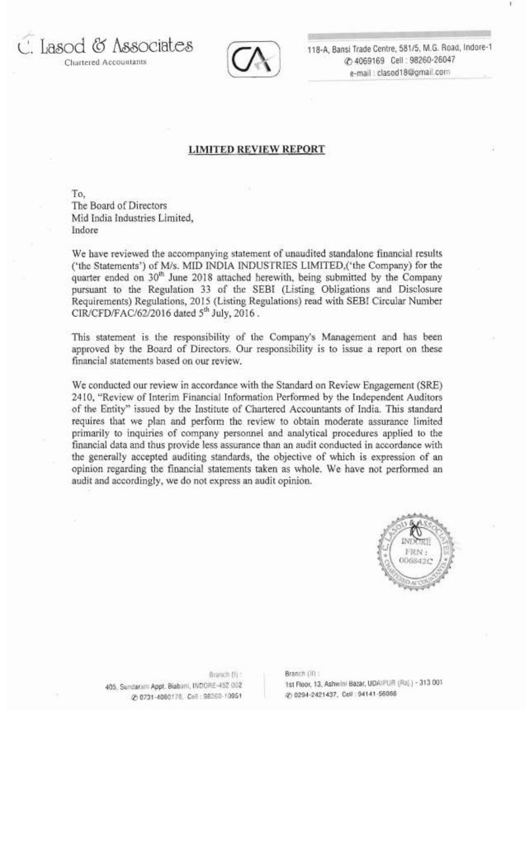Chartered Accountants

L. Lasod (0 Associates



118-A, Bansi Trade Centre, 581/5, M.G. Road, Indore-1 CO 4069169 Cell: 98260-26047 e-mail: clasod18@gmail.com

## **LIMITED REVIEW REPORT**

To, The Board of Directors Mid India Industries Limited, Indore

We have reviewed the accompanying statement of unaudited standalone fmancial results ('the Statements') of *Mis.* MID INDIA INDUSTRIES LIMITED,('the Company) for the quarter ended on 30<sup>th</sup> June 2018 attached herewith, being submitted by the Company pursuant to the Regulation 33 of the SEBI (Listing Obligations and Disclosure Requirements) Regulations, 2015 (Listing Regulations) read with SEBI Circular Number CIR/CFD/FAC/62/2016 dated  $5<sup>th</sup>$  July, 2016.

This statement is the responsibility of the Company's Management and has been approved by the Board of Directors. Our responsibility is to issue a report on these financial statements based on our review.

We conducted our review in accordance with the Standard on Review Engagement (SRE) 2410, "Review of Interim Financial Information Performed by the Independent Auditors of the Entity" issued by the Institute of Chartered Accountants of India. This standard requires that we plan and perform the review to obtain moderate assurance limited primarily to inquiries of company personnel and analytical procedures applied to the financial data and thus provide less assurance than an audit conducted in accordance with the generally accepted auditing standards, the objective of which is expression of an opinion regarding the financial statements taken as whole. We have not performed an audit and accordingly, we do not express an audit opinion.



**Branch (II): Branch** (II): (2) 0294-2421437, Cell : 94141-56086 00731-4080 78, 0294-2421437, Cell : 94141-56086

405, Sundaram Appt. Biabani, INDORE-452 002 1st Floor, 13, Ashwini Bazar, UDAIPUR (Raj.) - 313 001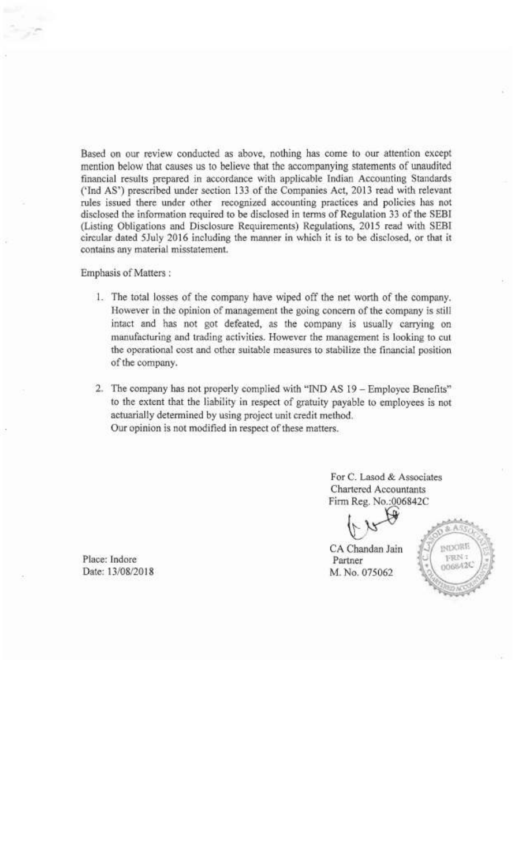Based on our review conducted as above, nothing has come to our attention except mention below that causes us to believe that the accompanying statements of unaudited financial results prepared in accordance with applicable Indian Accounting Standards ('Ind AS') prescribed under section 133 of the Companies Act, 2013 read with relevant rules issued there under other recognized accounting practices and policies has not disclosed the infonnation required to be disclosed in terms of Regulation 33 of the SEBI (Listing Obligations and Disclosure Requirements) Regulations, 2015 read with SEBI circular dated 5July 2016 including the manner in which it is to be disclosed, or that it contains any material misstatement.

Emphasis of Matters ;

- 1. The total losses of the company have wiped off the net worth of the company. However in the opinion of management the going concern of the company is still intact and has not got defeated, as the company is usually carrying on manufacturing and trading activities. However the management is looking to cut the operational cost and other suitable measures to stabilize the financial position of the company.
- 2. The company has not properly complied with "IND AS 19 Employee Benefits" to the extent that the liability in respect of gratuity payable to employees is not actuarially determined by using project unit credit method. Our opinion is not modified in respect of these matters.

For C. Lasod & Associates Chartered Accountants Firm Reg. No.:006842C f

CA Chandan Jain



Place: Indore Partner Date: 13/08/2018 M. No. 075062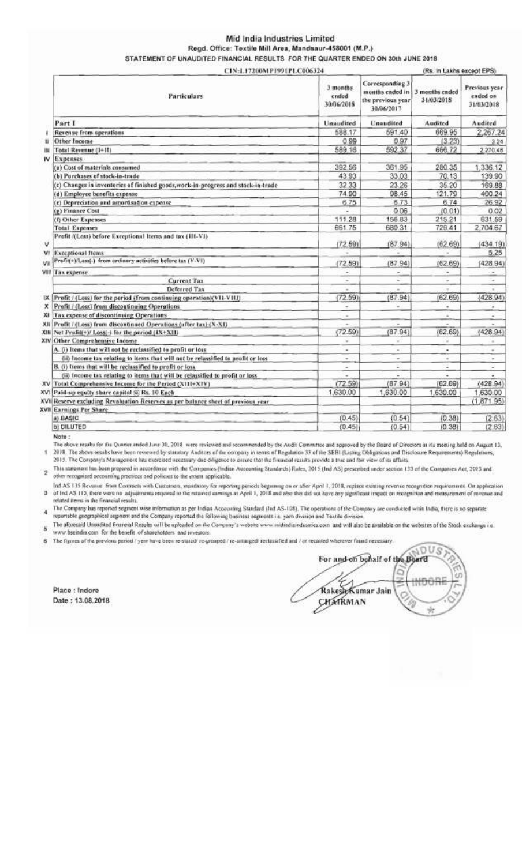## Mid India Industries Limited Regd. Office: Textile Mill Area, Mandsaur-458001 (M.P.) STATEMENT OF UNAUDITED FINANCIAL RESULTS FOR THE QUARTER ENDED ON 30th JUNE 2018

|                                                                                   | CIN:L17200MP1991PLC006324       |                                                                       |                              | (Rs. in Lakhs except EPS)               |  |  |
|-----------------------------------------------------------------------------------|---------------------------------|-----------------------------------------------------------------------|------------------------------|-----------------------------------------|--|--|
| <b>Particulars</b>                                                                | 3 months<br>ended<br>30/06/2018 | Corresponding 3<br>months ended in<br>the previous year<br>30/06/2017 | 3 months ended<br>31/03/2018 | Previous year<br>ended on<br>31/03/2018 |  |  |
| Part I                                                                            | <b>Unaudited</b>                | Unaudited                                                             | Audited                      | Audited                                 |  |  |
| Revenue from operations                                                           | 588.17                          | 591.40                                                                | 669 95                       | 2,267.24                                |  |  |
| Other Income                                                                      | 0.99                            | 0.97                                                                  | (3.23)                       | 3.24                                    |  |  |
| Total Revenue (1+11)                                                              | 589.16                          | 592 37                                                                | 666.72                       | 2.270.48                                |  |  |
| Expenses<br>w                                                                     |                                 |                                                                       |                              |                                         |  |  |
| (a) Cost of materials consumed                                                    | 392.56                          | 361.95                                                                | 280.35                       | 1,336.12                                |  |  |
| (b) Purchases of stock-in-trade                                                   | 43.93                           | 33.03                                                                 | 70.13                        | 139.90                                  |  |  |
| (c) Changes in inventories of finished goods, work-in-progress and stock-in-trade | 32 33                           | 23.26                                                                 | 35 20                        | 169.88                                  |  |  |
| (d) Employee benefits expense                                                     | 74.90                           | 98.45                                                                 | 121.79                       | 400.24                                  |  |  |
| (c) Depreciation and amortisation expense                                         | 6.75                            | 8.73                                                                  | 6.74                         | 26.92                                   |  |  |
| (p) Finance Cost                                                                  |                                 | 0.06                                                                  | (0.01)                       | 0.02                                    |  |  |
| (f) Other Expenses                                                                | 111.28                          | 156.83                                                                | 215.21                       | 631.59                                  |  |  |
| <b>Total Expenses</b>                                                             | 661.75                          | 680.31                                                                | 729.41                       | 2,704.67                                |  |  |
| Profit /(Loss) before Exceptional Items and tax (III-VI)                          | (72.59)                         | (87.94)                                                               | (62.69)                      | (434.19)                                |  |  |
| <b>Exceptional Items</b><br>٧I                                                    | ÷                               | ÷                                                                     | w                            | 5.25                                    |  |  |
| Profit(+)/Loss(-) from ardinary activities before tas (V-VI)<br>Vil               | (72.59)                         | (87.94)                                                               | (62.69)                      | (42894)                                 |  |  |
| VIII Tax expense                                                                  | $\overline{\phantom{a}}$        |                                                                       | ×.                           |                                         |  |  |
| <b>Current Tax</b>                                                                | ÷                               | ÷                                                                     | ÷                            | ÷                                       |  |  |
| Deferred Tax                                                                      |                                 |                                                                       |                              |                                         |  |  |
| Profit / (Loss) for the period (from continuing operation)(VII-VIII)<br>IΧ.       | (72.59)                         | (87.94)                                                               | (62.69)                      | (428.94)                                |  |  |
| Profit / (Loss) from discontinuing Operations                                     | $\tau$                          |                                                                       | ×.                           | ×                                       |  |  |
| Tax expense of discontinuing Operations<br>XI.                                    | $\sim$                          |                                                                       | $\Delta$                     |                                         |  |  |
| Profit / (Less) from discontinued Operations (after tax) (X-XI)<br>XII            | $\sim$                          | $\sim$                                                                | $\overline{\phantom{a}}$     | $\sim$                                  |  |  |
| Xili Net Profit(+)/ Loss(-) for the period (IX+XII)                               | (72.59)                         | (87.94)                                                               | (62.69)                      | (428.94)                                |  |  |
| XIV Other Comprehensive Income                                                    | $\overline{\phantom{a}}$        | ÷                                                                     | $\sim$                       | $\alpha'$                               |  |  |
| A. (i) Items that will not be reclassified to profit or loss                      |                                 |                                                                       | ۰                            | ٠                                       |  |  |
| (ii) Income tax relating to items that will not be relassified to profit or loss  | $\sim$                          | $\sim$                                                                | ÷                            | $\alpha$                                |  |  |
| B. (i) Items that will be reclassified to profit or loss                          | $\frac{1}{2}$                   | s.                                                                    | 2                            | $\overline{\phantom{a}}$                |  |  |
| (ii) Income tax relating to items that will be relassified to profit or loss      |                                 |                                                                       | ٠                            | ٠                                       |  |  |
| XV Total Comprehensive Income for the Period (XIII+XIV)                           | (72.59)                         | (87.94)                                                               | (62.69)                      | (428.94)                                |  |  |
| XVI Paid-up equity share capital (ii) Rs. 10 Each                                 | 1,630.00                        | 1,630.00                                                              | 1,630.00                     | 1,630.00                                |  |  |
| XVII Reserve excluding Revaluation Reserves as per balance sheet of previous year |                                 |                                                                       |                              | (1,871.95)                              |  |  |
| XVII Earnings Per Share                                                           |                                 |                                                                       |                              |                                         |  |  |
| a) BASIC                                                                          | (0.45)                          | (0.54)                                                                | (0.38)                       | (2.63)                                  |  |  |
| b) DILUTED                                                                        | (0.45)                          | (0.54)                                                                | (0.38)                       | (2.63)                                  |  |  |

Note:

The above results for the Quarter ended June 30, 2018 were reviewed and recommended by the Audit Committee and approved by the Board of Directors in it's meeting held on August 13. 2018. The above results have been reviewed by statutory Auditors of the company in tenns of Regulation 33 of the SEBI (Listing Obligations and Disclosure Requirements) Regulations, š 2015. The Company's Management has exercised recessary due diligence to ensure that the financial results provide a true and fair view of its affairs.

2 This statement has been prepared in accordance with the Companies (Indian Accounting Standards) Rules, 2015 (Ind AS) prescribed under section 133 of the Companies Act, 2013 and other recognised accounting practices and policies to the extent applicable.

Ind AS 115 Revellue from Contracts with Customers, mandatory for reponing periods beginning on or after April 1, 2018, replace existing revenue recognition requirements. On application 3 of Ind AS 115, there were no adjustments response to the retained earnings at April 1, 2018 and also this did not have any significant impact on recognition and measurement of revenue and relaled items in the financial results.

The Company has reported segment wise information as per Indian Accounting Standard (Ind AS-108). The operations of the Company are conducted witin India, there is no separate reportable geographical segment and the Company reported the following business segments i.e. yam division and Textile division

S The aforesaid Unaudited financial Results will be uploaded on the Company's website www.inidindiaindustries.com and will also be available on the websites of the Stock exchange i.e. www.bseindia.com for the benefit of shareholders' and investors.

6 The figures of the previous period I yent have been re-stated) re-grouped I re-arrangedl reclassified and I or recasted wherever found necessary.

Place: Indore Date: 13.08.2018

JOUS, For and on behalf of the Board ĦĦ Rakesh Kumar Jain CHATRMAN